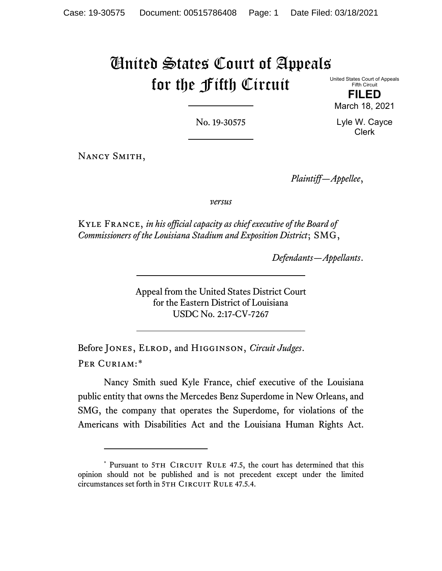# United States Court of Appeals for the Fifth Circuit

United States Court of Appeals Fifth Circuit

**FILED** March 18, 2021

No. 19-30575

Lyle W. Cayce Clerk

Nancy Smith,

*Plaintiff—Appellee*,

*versus*

Kyle France, *in his official capacity as chief executive of the Board of Commissioners of the Louisiana Stadium and Exposition District*; SMG,

*Defendants—Appellants*.

Appeal from the United States District Court for the Eastern District of Louisiana USDC No. 2:17-CV-7267

Before Jones, Elrod, and Higginson, *Circuit Judges*. Per Curiam:[\\*](#page-0-0)

Nancy Smith sued Kyle France, chief executive of the Louisiana public entity that owns the Mercedes Benz Superdome in New Orleans, and SMG, the company that operates the Superdome, for violations of the Americans with Disabilities Act and the Louisiana Human Rights Act.

<span id="page-0-0"></span><sup>\*</sup> Pursuant to 5TH CIRCUIT RULE 47.5, the court has determined that this opinion should not be published and is not precedent except under the limited circumstances set forth in 5TH CIRCUIT RULE 47.5.4.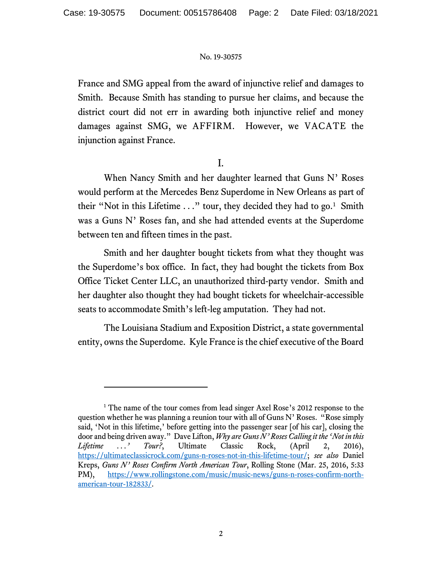France and SMG appeal from the award of injunctive relief and damages to Smith. Because Smith has standing to pursue her claims, and because the district court did not err in awarding both injunctive relief and money damages against SMG, we AFFIRM. However, we VACATE the injunction against France.

I.

When Nancy Smith and her daughter learned that Guns N' Roses would perform at the Mercedes Benz Superdome in New Orleans as part of their "Not in this Lifetime  $\dots$ " tour, they decided they had to go.<sup>[1](#page-1-0)</sup> Smith was a Guns N' Roses fan, and she had attended events at the Superdome between ten and fifteen times in the past.

Smith and her daughter bought tickets from what they thought was the Superdome's box office. In fact, they had bought the tickets from Box Office Ticket Center LLC, an unauthorized third-party vendor. Smith and her daughter also thought they had bought tickets for wheelchair-accessible seats to accommodate Smith's left-leg amputation. They had not.

The Louisiana Stadium and Exposition District, a state governmental entity, owns the Superdome. Kyle France is the chief executive of the Board

<span id="page-1-0"></span><sup>&</sup>lt;sup>1</sup> The name of the tour comes from lead singer Axel Rose's 2012 response to the question whether he was planning a reunion tour with all of Guns N' Roses. "Rose simply said, 'Not in this lifetime,' before getting into the passenger sear [of his car], closing the door and being driven away." Dave Lifton, *Why are Guns N' Roses Calling it the 'Not in this Lifetime . . .' Tour?*, Ultimate Classic Rock, (April 2, 2016), [https://ultimateclassicrock.com/guns-n-roses-not-in-this-lifetime-tour/;](https://ultimateclassicrock.com/guns-n-roses-not-in-this-lifetime-tour/) *see also* Daniel Kreps, *Guns N' Roses Confirm North American Tour*, Rolling Stone (Mar. 25, 2016, 5:33 PM), [https://www.rollingstone.com/music/music-news/guns-n-roses-confirm-north](https://www.rollingstone.com/music/music-news/guns-n-roses-confirm-north-american-tour-182833/)[american-tour-182833/.](https://www.rollingstone.com/music/music-news/guns-n-roses-confirm-north-american-tour-182833/)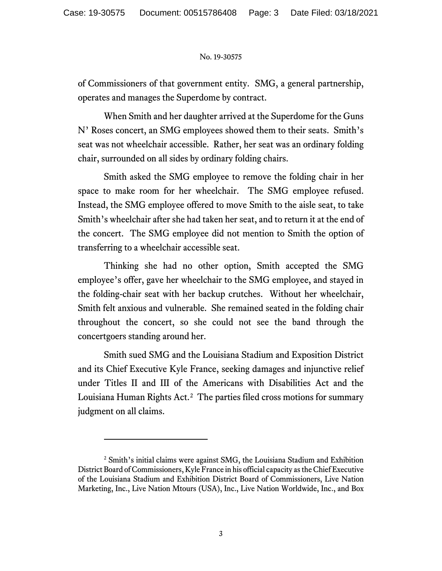of Commissioners of that government entity. SMG, a general partnership, operates and manages the Superdome by contract.

When Smith and her daughter arrived at the Superdome for the Guns N' Roses concert, an SMG employees showed them to their seats. Smith's seat was not wheelchair accessible. Rather, her seat was an ordinary folding chair, surrounded on all sides by ordinary folding chairs.

Smith asked the SMG employee to remove the folding chair in her space to make room for her wheelchair. The SMG employee refused. Instead, the SMG employee offered to move Smith to the aisle seat, to take Smith's wheelchair after she had taken her seat, and to return it at the end of the concert. The SMG employee did not mention to Smith the option of transferring to a wheelchair accessible seat.

Thinking she had no other option, Smith accepted the SMG employee's offer, gave her wheelchair to the SMG employee, and stayed in the folding-chair seat with her backup crutches. Without her wheelchair, Smith felt anxious and vulnerable. She remained seated in the folding chair throughout the concert, so she could not see the band through the concertgoers standing around her.

Smith sued SMG and the Louisiana Stadium and Exposition District and its Chief Executive Kyle France, seeking damages and injunctive relief under Titles II and III of the Americans with Disabilities Act and the Louisiana Human Rights Act. [2](#page-2-0) The parties filed cross motions for summary judgment on all claims.

<span id="page-2-0"></span><sup>2</sup> Smith's initial claims were against SMG, the Louisiana Stadium and Exhibition District Board of Commissioners, Kyle France in his official capacity as the Chief Executive of the Louisiana Stadium and Exhibition District Board of Commissioners, Live Nation Marketing, Inc., Live Nation Mtours (USA), Inc., Live Nation Worldwide, Inc., and Box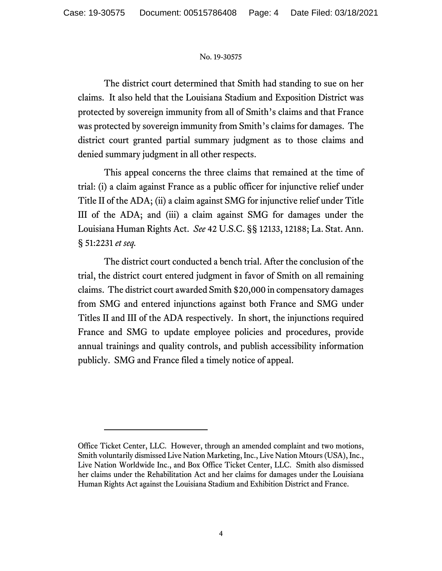The district court determined that Smith had standing to sue on her claims. It also held that the Louisiana Stadium and Exposition District was protected by sovereign immunity from all of Smith's claims and that France was protected by sovereign immunity from Smith's claims for damages. The district court granted partial summary judgment as to those claims and denied summary judgment in all other respects.

This appeal concerns the three claims that remained at the time of trial: (i) a claim against France as a public officer for injunctive relief under Title II of the ADA; (ii) a claim against SMG for injunctive relief under Title III of the ADA; and (iii) a claim against SMG for damages under the Louisiana Human Rights Act. *See* 42 U.S.C. §§ 12133, 12188; La. Stat. Ann. § 51:2231 *et seq.*

The district court conducted a bench trial. After the conclusion of the trial, the district court entered judgment in favor of Smith on all remaining claims. The district court awarded Smith \$20,000 in compensatory damages from SMG and entered injunctions against both France and SMG under Titles II and III of the ADA respectively. In short, the injunctions required France and SMG to update employee policies and procedures, provide annual trainings and quality controls, and publish accessibility information publicly. SMG and France filed a timely notice of appeal.

Office Ticket Center, LLC. However, through an amended complaint and two motions, Smith voluntarily dismissed Live Nation Marketing, Inc., Live Nation Mtours (USA), Inc., Live Nation Worldwide Inc., and Box Office Ticket Center, LLC. Smith also dismissed her claims under the Rehabilitation Act and her claims for damages under the Louisiana Human Rights Act against the Louisiana Stadium and Exhibition District and France.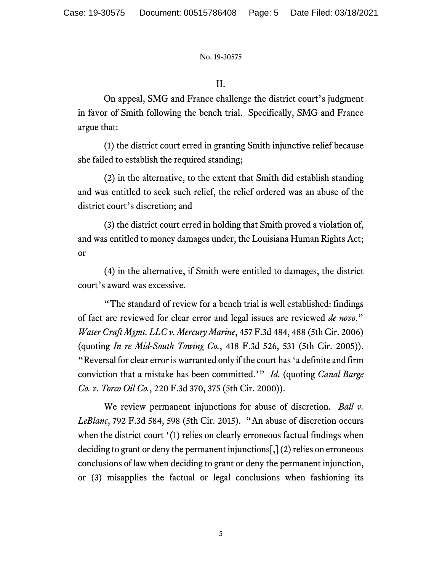# II.

On appeal, SMG and France challenge the district court's judgment in favor of Smith following the bench trial. Specifically, SMG and France argue that:

(1) the district court erred in granting Smith injunctive relief because she failed to establish the required standing;

(2) in the alternative, to the extent that Smith did establish standing and was entitled to seek such relief, the relief ordered was an abuse of the district court's discretion; and

(3) the district court erred in holding that Smith proved a violation of, and was entitled to money damages under, the Louisiana Human Rights Act; or

(4) in the alternative, if Smith were entitled to damages, the district court's award was excessive.

"The standard of review for a bench trial is well established: findings of fact are reviewed for clear error and legal issues are reviewed *de novo*." *Water Craft Mgmt. LLC v. Mercury Marine*, 457 F.3d 484, 488 (5th Cir. 2006) (quoting *In re Mid-South Towing Co.*, 418 F.3d 526, 531 (5th Cir. 2005)). "Reversal for clear error is warranted only if the court has 'a definite and firm conviction that a mistake has been committed.'" *Id.* (quoting *Canal Barge Co. v. Torco Oil Co.*, 220 F.3d 370, 375 (5th Cir. 2000)).

We review permanent injunctions for abuse of discretion. *Ball v. LeBlanc*, 792 F.3d 584, 598 (5th Cir. 2015). "An abuse of discretion occurs when the district court '(1) relies on clearly erroneous factual findings when deciding to grant or deny the permanent injunctions[,] (2) relies on erroneous conclusions of law when deciding to grant or deny the permanent injunction, or (3) misapplies the factual or legal conclusions when fashioning its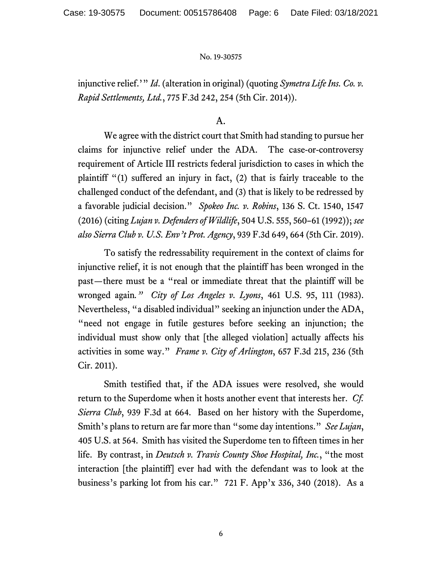injunctive relief.'" *Id*. (alteration in original) (quoting *Symetra Life Ins. Co. v. Rapid Settlements, Ltd.*, 775 F.3d 242, 254 (5th Cir. 2014)).

A.

We agree with the district court that Smith had standing to pursue her claims for injunctive relief under the ADA. The case-or-controversy requirement of Article III restricts federal jurisdiction to cases in which the plaintiff "(1) suffered an injury in fact, (2) that is fairly traceable to the challenged conduct of the defendant, and (3) that is likely to be redressed by a favorable judicial decision." *Spokeo Inc. v. Robins*, 136 S. Ct. 1540, 1547 (2016) (citing *Lujan v. Defenders of Wildlife*, 504 U.S. 555, 560–61 (1992)); *see also Sierra Club v. U.S. Env't Prot. Agency*, 939 F.3d 649, 664 (5th Cir. 2019).

To satisfy the redressability requirement in the context of claims for injunctive relief, it is not enough that the plaintiff has been wronged in the past—there must be a "real or immediate threat that the plaintiff will be wronged again*." City of Los Angeles v. Lyons*, 461 U.S. 95, 111 (1983). Nevertheless, "a disabled individual" seeking an injunction under the ADA, "need not engage in futile gestures before seeking an injunction; the individual must show only that [the alleged violation] actually affects his activities in some way." *Frame v. City of Arlington*, 657 F.3d 215, 236 (5th Cir. 2011).

Smith testified that, if the ADA issues were resolved, she would return to the Superdome when it hosts another event that interests her. *Cf. Sierra Club*, 939 F.3d at 664. Based on her history with the Superdome, Smith's plans to return are far more than "some day intentions." *See Lujan*, 405 U.S. at 564. Smith has visited the Superdome ten to fifteen times in her life. By contrast, in *Deutsch v. Travis County Shoe Hospital, Inc.*, "the most interaction [the plaintiff] ever had with the defendant was to look at the business's parking lot from his car." 721 F. App'x 336, 340 (2018). As a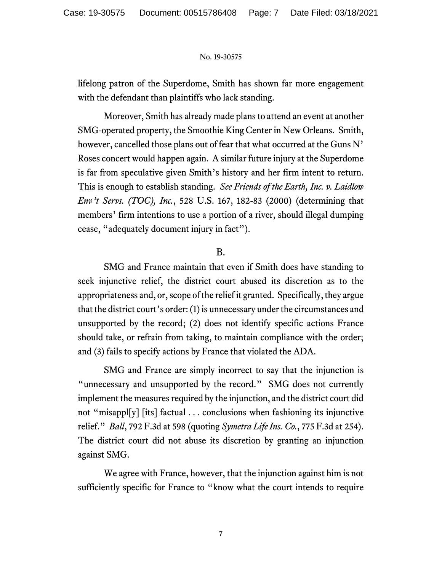lifelong patron of the Superdome, Smith has shown far more engagement with the defendant than plaintiffs who lack standing.

Moreover, Smith has already made plans to attend an event at another SMG-operated property, the Smoothie King Center in New Orleans. Smith, however, cancelled those plans out of fear that what occurred at the Guns N' Roses concert would happen again. A similar future injury at the Superdome is far from speculative given Smith's history and her firm intent to return. This is enough to establish standing. *See Friends of the Earth, Inc. v. Laidlow Env't Servs. (TOC), Inc.*, 528 U.S. 167, 182-83 (2000) (determining that members' firm intentions to use a portion of a river, should illegal dumping cease, "adequately document injury in fact").

### B.

SMG and France maintain that even if Smith does have standing to seek injunctive relief, the district court abused its discretion as to the appropriateness and, or, scope of the relief it granted. Specifically, they argue that the district court's order: (1) is unnecessary under the circumstances and unsupported by the record; (2) does not identify specific actions France should take, or refrain from taking, to maintain compliance with the order; and (3) fails to specify actions by France that violated the ADA.

SMG and France are simply incorrect to say that the injunction is "unnecessary and unsupported by the record." SMG does not currently implement the measures required by the injunction, and the district court did not "misappl[y] [its] factual . . . conclusions when fashioning its injunctive relief." *Ball*, 792 F.3d at 598 (quoting *Symetra Life Ins. Co.*, 775 F.3d at 254). The district court did not abuse its discretion by granting an injunction against SMG.

We agree with France, however, that the injunction against him is not sufficiently specific for France to "know what the court intends to require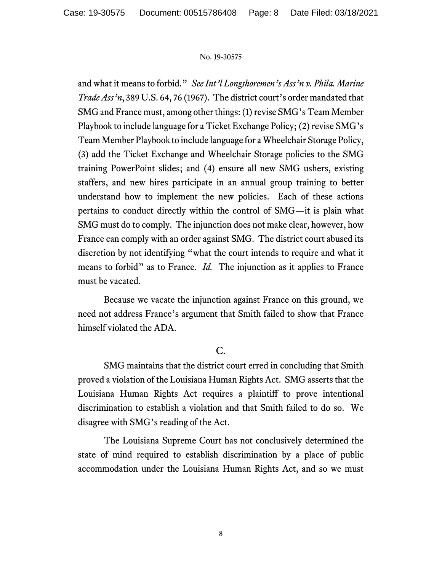and what it means to forbid." *See Int'l Longshoremen's Ass'n v. Phila. Marine Trade Ass'n*, 389 U.S. 64, 76 (1967). The district court's order mandated that SMG and France must, among other things: (1) revise SMG's Team Member Playbook to include language for a Ticket Exchange Policy; (2) revise SMG's Team Member Playbook to include language for a Wheelchair Storage Policy, (3) add the Ticket Exchange and Wheelchair Storage policies to the SMG training PowerPoint slides; and (4) ensure all new SMG ushers, existing staffers, and new hires participate in an annual group training to better understand how to implement the new policies. Each of these actions pertains to conduct directly within the control of SMG—it is plain what SMG must do to comply. The injunction does not make clear, however, how France can comply with an order against SMG. The district court abused its discretion by not identifying "what the court intends to require and what it means to forbid" as to France. *Id.* The injunction as it applies to France must be vacated.

Because we vacate the injunction against France on this ground, we need not address France's argument that Smith failed to show that France himself violated the ADA.

# $C_{\cdot}$

SMG maintains that the district court erred in concluding that Smith proved a violation of the Louisiana Human Rights Act. SMG asserts that the Louisiana Human Rights Act requires a plaintiff to prove intentional discrimination to establish a violation and that Smith failed to do so. We disagree with SMG's reading of the Act.

The Louisiana Supreme Court has not conclusively determined the state of mind required to establish discrimination by a place of public accommodation under the Louisiana Human Rights Act, and so we must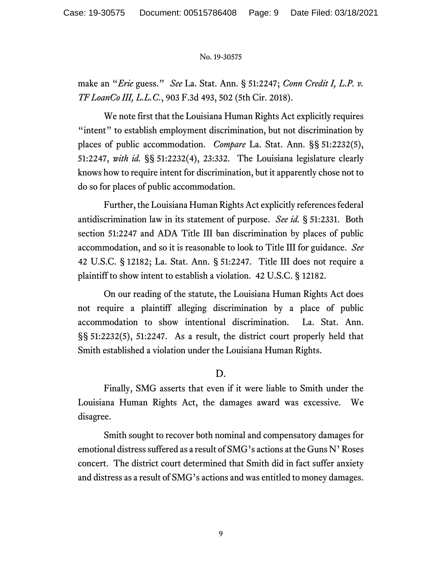make an "*Erie* guess." *See* La. Stat. Ann. § 51:2247; *Conn Credit I, L.P. v. TF LoanCo III, L.L.C.*, 903 F.3d 493, 502 (5th Cir. 2018).

We note first that the Louisiana Human Rights Act explicitly requires "intent" to establish employment discrimination, but not discrimination by places of public accommodation. *Compare* La. Stat. Ann. §§ 51:2232(5), 51:2247, *with id.* §§ 51:2232(4), 23:332. The Louisiana legislature clearly knows how to require intent for discrimination, but it apparently chose not to do so for places of public accommodation.

Further, the Louisiana Human Rights Act explicitly references federal antidiscrimination law in its statement of purpose. *See id.* § 51:2331. Both section 51:2247 and ADA Title III ban discrimination by places of public accommodation, and so it is reasonable to look to Title III for guidance. *See* 42 U.S.C. § 12182; La. Stat. Ann. § 51:2247. Title III does not require a plaintiff to show intent to establish a violation. 42 U.S.C. § 12182.

On our reading of the statute, the Louisiana Human Rights Act does not require a plaintiff alleging discrimination by a place of public accommodation to show intentional discrimination. La. Stat. Ann. §§ 51:2232(5), 51:2247. As a result, the district court properly held that Smith established a violation under the Louisiana Human Rights.

# D.

Finally, SMG asserts that even if it were liable to Smith under the Louisiana Human Rights Act, the damages award was excessive. We disagree.

Smith sought to recover both nominal and compensatory damages for emotional distress suffered as a result of SMG's actions at the Guns N' Roses concert. The district court determined that Smith did in fact suffer anxiety and distress as a result of SMG's actions and was entitled to money damages.